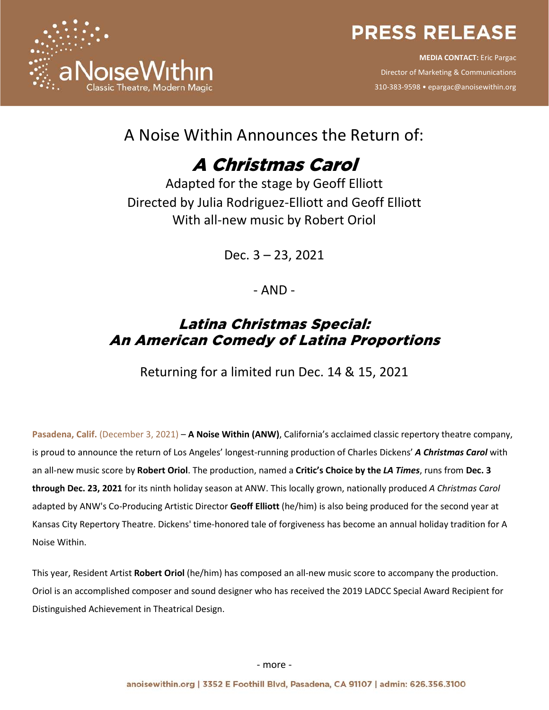

**MEDIA CONTACT:** Eric Pargac Director of Marketing & Communications 310-383-9598 • epargac@anoisewithin.org



### A Noise Within Announces the Return of:

# A Christmas Carol

Adapted for the stage by Geoff Elliott Directed by Julia Rodriguez-Elliott and Geoff Elliott With all-new music by Robert Oriol

Dec. 3 – 23, 2021

- AND -

### Latina Christmas Special: An American Comedy of Latina Proportions

Returning for a limited run Dec. 14 & 15, 2021

**Pasadena, Calif.** (December 3, 2021) – **A Noise Within (ANW)**, California's acclaimed classic repertory theatre company, is proud to announce the return of Los Angeles' longest-running production of Charles Dickens' *A Christmas Carol* with an all-new music score by **Robert Oriol**. The production, named a **Critic's Choice by the** *LA Times*, runs from **Dec. 3 through Dec. 23, 2021** for its ninth holiday season at ANW. This locally grown, nationally produced *A Christmas Carol* adapted by ANW's Co-Producing Artistic Director **Geoff Elliott** (he/him) is also being produced for the second year at Kansas City Repertory Theatre. Dickens' time-honored tale of forgiveness has become an annual holiday tradition for A Noise Within.

This year, Resident Artist **Robert Oriol** (he/him) has composed an all-new music score to accompany the production. Oriol is an accomplished composer and sound designer who has received the 2019 LADCC Special Award Recipient for Distinguished Achievement in Theatrical Design.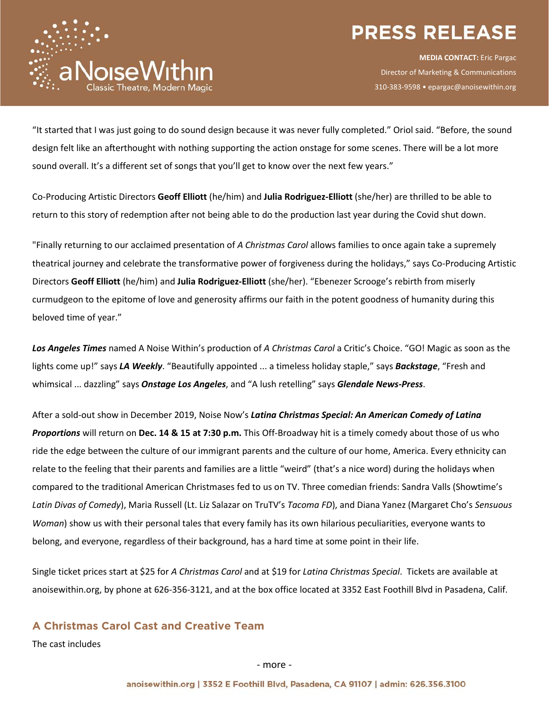

**MEDIA CONTACT:** Eric Pargac Director of Marketing & Communications 310-383-9598 • epargac@anoisewithin.org

"It started that I was just going to do sound design because it was never fully completed." Oriol said. "Before, the sound design felt like an afterthought with nothing supporting the action onstage for some scenes. There will be a lot more sound overall. It's a different set of songs that you'll get to know over the next few years."

Co-Producing Artistic Directors **Geoff Elliott** (he/him) and **Julia Rodriguez-Elliott** (she/her) are thrilled to be able to return to this story of redemption after not being able to do the production last year during the Covid shut down.

"Finally returning to our acclaimed presentation of *A Christmas Carol* allows families to once again take a supremely theatrical journey and celebrate the transformative power of forgiveness during the holidays," says Co-Producing Artistic Directors **Geoff Elliott** (he/him) and **Julia Rodriguez-Elliott** (she/her). "Ebenezer Scrooge's rebirth from miserly curmudgeon to the epitome of love and generosity affirms our faith in the potent goodness of humanity during this beloved time of year."

*Los Angeles Times* named A Noise Within's production of *A Christmas Carol* a Critic's Choice. "GO! Magic as soon as the lights come up!" says *LA Weekly*. "Beautifully appointed ... a timeless holiday staple," says *Backstage*, "Fresh and whimsical ... dazzling" says *Onstage Los Angeles*, and "A lush retelling" says *Glendale News-Press*.

After a sold-out show in December 2019, Noise Now's *Latina Christmas Special: An American Comedy of Latina Proportions* will return on **Dec. 14 & 15 at 7:30 p.m.** This Off-Broadway hit is a timely comedy about those of us who ride the edge between the culture of our immigrant parents and the culture of our home, America. Every ethnicity can relate to the feeling that their parents and families are a little "weird" (that's a nice word) during the holidays when compared to the traditional American Christmases fed to us on TV. Three comedian friends: Sandra Valls (Showtime's *Latin Divas of Comedy*), Maria Russell (Lt. Liz Salazar on TruTV's *Tacoma FD*), and Diana Yanez (Margaret Cho's *Sensuous Woman*) show us with their personal tales that every family has its own hilarious peculiarities, everyone wants to belong, and everyone, regardless of their background, has a hard time at some point in their life.

Single ticket prices start at \$25 for *A Christmas Carol* and at \$19 for *Latina Christmas Special*. Tickets are available at anoisewithin.org, by phone at 626-356-3121, and at the box office located at 3352 East Foothill Blvd in Pasadena, Calif.

**A Christmas Carol Cast and Creative Team**

The cast includes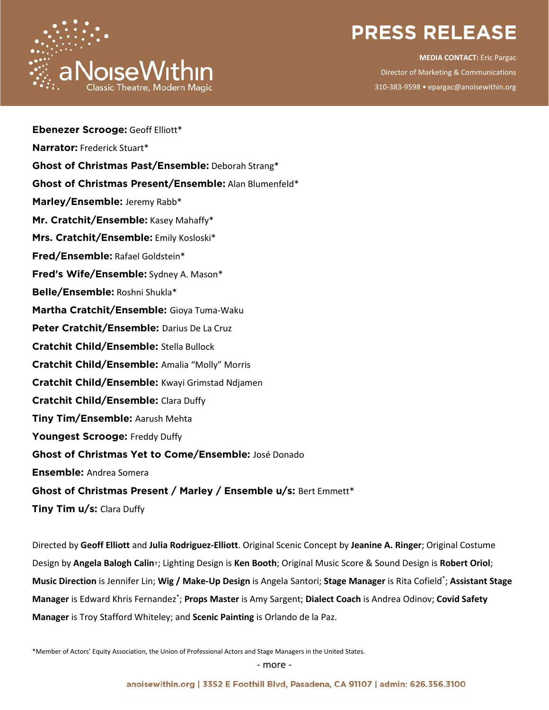

**MEDIA CONTACT:** Eric Pargac Director of Marketing & Communications 310-383-9598 • epargac@anoisewithin.org

| <b>Ebenezer Scrooge: Geoff Elliott*</b>                          |
|------------------------------------------------------------------|
| Narrator: Frederick Stuart*                                      |
| Ghost of Christmas Past/Ensemble: Deborah Strang*                |
| Ghost of Christmas Present/Ensemble: Alan Blumenfeld*            |
| Marley/Ensemble: Jeremy Rabb*                                    |
| Mr. Cratchit/Ensemble: Kasey Mahaffy*                            |
| Mrs. Cratchit/Ensemble: Emily Kosloski*                          |
| Fred/Ensemble: Rafael Goldstein*                                 |
| Fred's Wife/Ensemble: Sydney A. Mason*                           |
| Belle/Ensemble: Roshni Shukla*                                   |
| Martha Cratchit/Ensemble: Gioya Tuma-Waku                        |
| Peter Cratchit/Ensemble: Darius De La Cruz                       |
| <b>Cratchit Child/Ensemble: Stella Bullock</b>                   |
| Cratchit Child/Ensemble: Amalia "Molly" Morris                   |
| Cratchit Child/Ensemble: Kwayi Grimstad Ndjamen                  |
| <b>Cratchit Child/Ensemble: Clara Duffy</b>                      |
| Tiny Tim/Ensemble: Aarush Mehta                                  |
| Youngest Scrooge: Freddy Duffy                                   |
| Ghost of Christmas Yet to Come/Ensemble: José Donado             |
| <b>Ensemble: Andrea Somera</b>                                   |
| Ghost of Christmas Present / Marley / Ensemble u/s: Bert Emmett* |
|                                                                  |

**Tiny Tim u/s:** Clara Duffy

Directed by **Geoff Elliott** and **Julia Rodriguez-Elliott**. Original Scenic Concept by **Jeanine A. Ringer**; Original Costume Design by **Angela Balogh Calin**†; Lighting Design is **Ken Booth**; Original Music Score & Sound Design is **Robert Oriol**; **Music Direction** is Jennifer Lin; **Wig / Make-Up Design** is Angela Santori; **Stage Manager** is Rita Cofield\* ; **Assistant Stage Manager** is Edward Khris Fernandez\* ; **Props Master** is Amy Sargent; **Dialect Coach** is Andrea Odinov; **Covid Safety Manager** is Troy Stafford Whiteley; and **Scenic Painting** is Orlando de la Paz.

\*Member of Actors' Equity Association, the Union of Professional Actors and Stage Managers in the United States.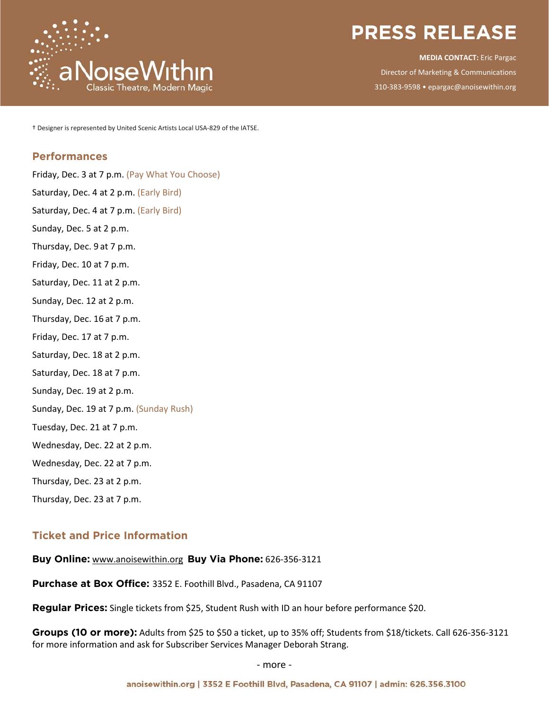

**MEDIA CONTACT:** Eric Pargac Director of Marketing & Communications 310-383-9598 • epargac@anoisewithin.org

† Designer is represented by United Scenic Artists Local USA-829 of the IATSE.

#### **Performances**

Friday, Dec. 3 at 7 p.m. (Pay What You Choose) Saturday, Dec. 4 at 2 p.m. (Early Bird) Saturday, Dec. 4 at 7 p.m. (Early Bird) Sunday, Dec. 5 at 2 p.m. Thursday, Dec. 9 at 7 p.m. Friday, Dec. 10 at 7 p.m. Saturday, Dec. 11 at 2 p.m. Sunday, Dec. 12 at 2 p.m. Thursday, Dec. 16 at 7 p.m. Friday, Dec. 17 at 7 p.m. Saturday, Dec. 18 at 2 p.m. Saturday, Dec. 18 at 7 p.m. Sunday, Dec. 19 at 2 p.m. Sunday, Dec. 19 at 7 p.m. (Sunday Rush) Tuesday, Dec. 21 at 7 p.m. Wednesday, Dec. 22 at 2 p.m. Wednesday, Dec. 22 at 7 p.m. Thursday, Dec. 23 at 2 p.m. Thursday, Dec. 23 at 7 p.m.

### **Ticket and Price Information**

**Buy Online:** www.anoisewithin.org **Buy Via Phone:** 626-356-3121

**Purchase at Box Office:** 3352 E. Foothill Blvd., Pasadena, CA 91107

**Regular Prices:** Single tickets from \$25, Student Rush with ID an hour before performance \$20.

**Groups (10 or more):** Adults from \$25 to \$50 a ticket, up to 35% off; Students from \$18/tickets. Call 626-356-3121 for more information and ask for Subscriber Services Manager Deborah Strang.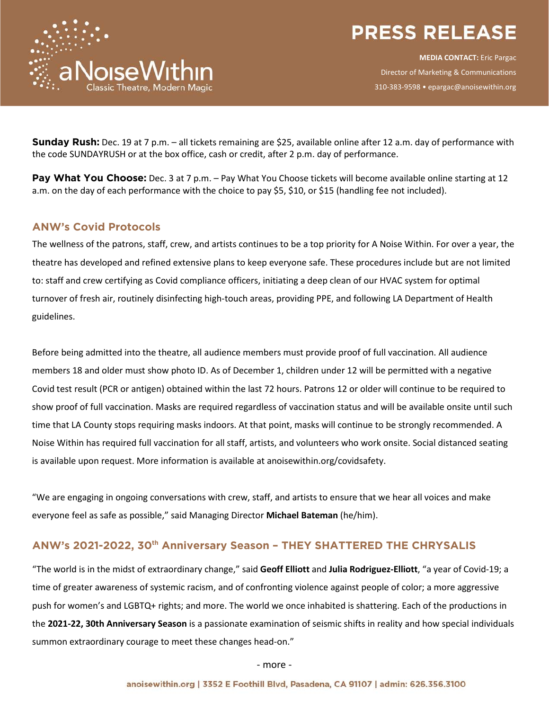

**MEDIA CONTACT:** Eric Pargac Director of Marketing & Communications 310-383-9598 • epargac@anoisewithin.org

**Sunday Rush:** Dec. 19 at 7 p.m. – all tickets remaining are \$25, available online after 12 a.m. day of performance with the code SUNDAYRUSH or at the box office, cash or credit, after 2 p.m. day of performance.

**Pay What You Choose:** Dec. 3 at 7 p.m. – Pay What You Choose tickets will become available online starting at 12 a.m. on the day of each performance with the choice to pay \$5, \$10, or \$15 (handling fee not included).

### **ANW's Covid Protocols**

aNoiseWithin

The wellness of the patrons, staff, crew, and artists continues to be a top priority for A Noise Within. For over a year, the theatre has developed and refined extensive plans to keep everyone safe. These procedures include but are not limited to: staff and crew certifying as Covid compliance officers, initiating a deep clean of our HVAC system for optimal turnover of fresh air, routinely disinfecting high-touch areas, providing PPE, and following LA Department of Health guidelines.

Before being admitted into the theatre, all audience members must provide proof of full vaccination. All audience members 18 and older must show photo ID. As of December 1, children under 12 will be permitted with a negative Covid test result (PCR or antigen) obtained within the last 72 hours. Patrons 12 or older will continue to be required to show proof of full vaccination. Masks are required regardless of vaccination status and will be available onsite until such time that LA County stops requiring masks indoors. At that point, masks will continue to be strongly recommended. A Noise Within has required full vaccination for all staff, artists, and volunteers who work onsite. Social distanced seating is available upon request. More information is available at anoisewithin.org/covidsafety.

"We are engaging in ongoing conversations with crew, staff, and artists to ensure that we hear all voices and make everyone feel as safe as possible," said Managing Director **Michael Bateman** (he/him).

### **ANW's 2021-2022, 30th Anniversary Season – THEY SHATTERED THE CHRYSALIS**

"The world is in the midst of extraordinary change," said **Geoff Elliott** and **Julia Rodriguez-Elliott**, "a year of Covid-19; a time of greater awareness of systemic racism, and of confronting violence against people of color; a more aggressive push for women's and LGBTQ+ rights; and more. The world we once inhabited is shattering. Each of the productions in the **2021-22, 30th Anniversary Season** is a passionate examination of seismic shifts in reality and how special individuals summon extraordinary courage to meet these changes head-on."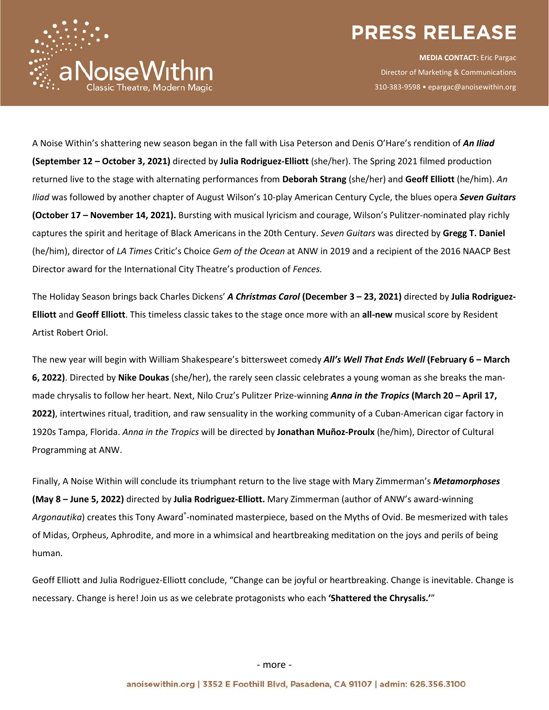

**MEDIA CONTACT:** Eric Pargac Director of Marketing & Communications 310-383-9598 • epargac@anoisewithin.org

A Noise Within's shattering new season began in the fall with Lisa Peterson and Denis O'Hare's rendition of *An Iliad*  **(September 12 – October 3, 2021)** directed by **Julia Rodriguez-Elliott** (she/her). The Spring 2021 filmed production returned live to the stage with alternating performances from **Deborah Strang** (she/her) and **Geoff Elliott** (he/him). *An Iliad* was followed by another chapter of August Wilson's 10-play American Century Cycle, the blues opera *Seven Guitars* **(October 17 – November 14, 2021).** Bursting with musical lyricism and courage, Wilson's Pulitzer-nominated play richly captures the spirit and heritage of Black Americans in the 20th Century. *Seven Guitars* was directed by **Gregg T. Daniel**  (he/him), director of *LA Times* Critic's Choice *Gem of the Ocean* at ANW in 2019 and a recipient of the 2016 NAACP Best Director award for the International City Theatre's production of *Fences.*

 $\stackrel{\scriptscriptstyle{1}}{_\sim}$ aNoiseWithin

The Holiday Season brings back Charles Dickens' *A Christmas Carol* **(December 3 – 23, 2021)** directed by **Julia Rodriguez-Elliott** and **Geoff Elliott**. This timeless classic takes to the stage once more with an **all-new** musical score by Resident Artist Robert Oriol.

The new year will begin with William Shakespeare's bittersweet comedy *All's Well That Ends Well* **(February 6 – March 6, 2022)**. Directed by **Nike Doukas** (she/her), the rarely seen classic celebrates a young woman as she breaks the manmade chrysalis to follow her heart. Next, Nilo Cruz's Pulitzer Prize-winning *Anna in the Tropics* **(March 20 – April 17, 2022)**, intertwines ritual, tradition, and raw sensuality in the working community of a Cuban-American cigar factory in 1920s Tampa, Florida. *Anna in the Tropics* will be directed by **Jonathan Muñoz-Proulx** (he/him), Director of Cultural Programming at ANW.

Finally, A Noise Within will conclude its triumphant return to the live stage with Mary Zimmerman's *Metamorphoses* **(May 8 – June 5, 2022)** directed by **Julia Rodriguez-Elliott.** Mary Zimmerman (author of ANW's award-winning Argonautika) creates this Tony Award<sup>®</sup>-nominated masterpiece, based on the Myths of Ovid. Be mesmerized with tales of Midas, Orpheus, Aphrodite, and more in a whimsical and heartbreaking meditation on the joys and perils of being human.

Geoff Elliott and Julia Rodriguez-Elliott conclude, "Change can be joyful or heartbreaking. Change is inevitable. Change is necessary. Change is here! Join us as we celebrate protagonists who each **'Shattered the Chrysalis.'**"